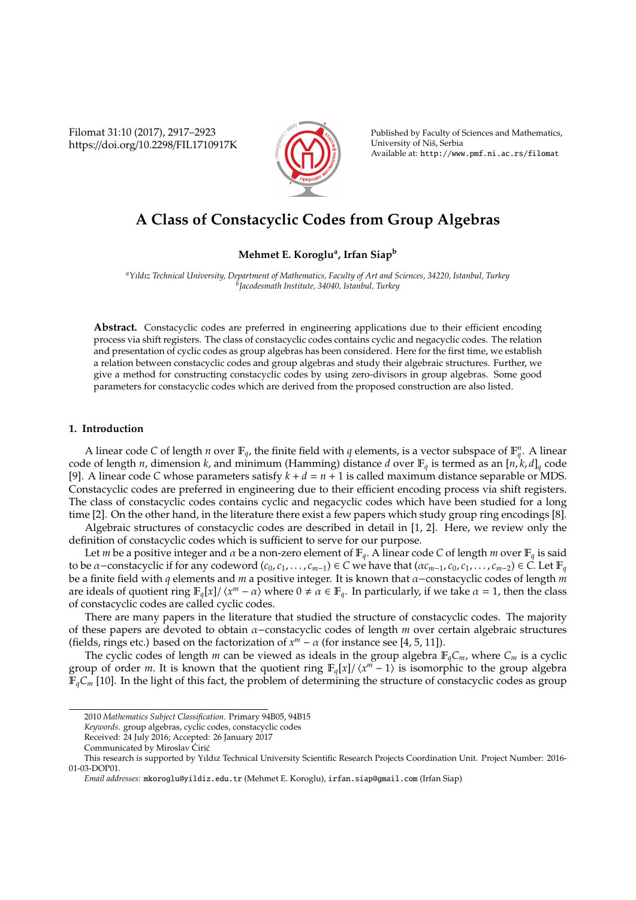Filomat 31:10 (2017), 2917–2923 https://doi.org/10.2298/FIL1710917K



Published by Faculty of Sciences and Mathematics, University of Niš, Serbia Available at: http://www.pmf.ni.ac.rs/filomat

# **A Class of Constacyclic Codes from Group Algebras**

### **Mehmet E. Koroglu<sup>a</sup> , Irfan Siap<sup>b</sup>**

*<sup>a</sup>Yıldız Technical University, Department of Mathematics, Faculty of Art and Sciences, 34220, Istanbul, Turkey b Jacodesmath Institute, 34040, Istanbul, Turkey*

**Abstract.** Constacyclic codes are preferred in engineering applications due to their efficient encoding process via shift registers. The class of constacyclic codes contains cyclic and negacyclic codes. The relation and presentation of cyclic codes as group algebras has been considered. Here for the first time, we establish a relation between constacyclic codes and group algebras and study their algebraic structures. Further, we give a method for constructing constacyclic codes by using zero-divisors in group algebras. Some good parameters for constacyclic codes which are derived from the proposed construction are also listed.

### **1. Introduction**

A linear code *C* of length *n* over  $\mathbb{F}_q$ , the finite field with *q* elements, is a vector subspace of  $\mathbb{F}_q^n$ . A linear code of length *n*, dimension *k*, and minimum (Hamming) distance *d* over  $\mathbb{F}_q$  is termed as an  $[n, k, d]_q$  code [9]. A linear code *C* whose parameters satisfy  $k + d = n + 1$  is called maximum distance separable or MDS. Constacyclic codes are preferred in engineering due to their efficient encoding process via shift registers. The class of constacyclic codes contains cyclic and negacyclic codes which have been studied for a long time [2]. On the other hand, in the literature there exist a few papers which study group ring encodings [8].

Algebraic structures of constacyclic codes are described in detail in [1, 2]. Here, we review only the definition of constacyclic codes which is sufficient to serve for our purpose.

Let *m* be a positive integer and  $\alpha$  be a non-zero element of  $\mathbb{F}_q$ . A linear code *C* of length *m* over  $\mathbb{F}_q$  is said to be  $\alpha$ -constacyclic if for any codeword  $(c_0, c_1, \ldots, c_{m-1}) \in C$  we have that  $(\alpha c_{m-1}, c_0, c_1, \ldots, c_{m-2}) \in C$ . Let  $\mathbb{F}_q$ be a finite field with *q* elements and *m* a positive integer. It is known that α−constacyclic codes of length *m* are ideals of quotient ring  $\mathbb{F}_q[x]/\langle x^m - \alpha \rangle$  where  $0 \neq \alpha \in \mathbb{F}_q$ . In particularly, if we take  $\alpha = 1$ , then the class of constacyclic codes are called cyclic codes.

There are many papers in the literature that studied the structure of constacyclic codes. The majority of these papers are devoted to obtain α−constacyclic codes of length *m* over certain algebraic structures (fields, rings etc.) based on the factorization of  $x^m - \alpha$  (for instance see [4, 5, 11]).

The cyclic codes of length *m* can be viewed as ideals in the group algebra  $\mathbb{F}_qC_m$ , where  $C_m$  is a cyclic group of order *m*. It is known that the quotient ring  $\mathbb{F}_q[x]/\langle x^m - 1 \rangle$  is isomorphic to the group algebra  $\mathbb{F}_qC_m$  [10]. In the light of this fact, the problem of determining the structure of constacyclic codes as group

<sup>2010</sup> *Mathematics Subject Classification*. Primary 94B05, 94B15

*Keywords*. group algebras, cyclic codes, constacyclic codes

Received: 24 July 2016; Accepted: 26 January 2017

Communicated by Miroslav Cirić

This research is supported by Yıldız Technical University Scientific Research Projects Coordination Unit. Project Number: 2016- 01-03-DOP01.

*Email addresses:* mkoroglu@yildiz.edu.tr (Mehmet E. Koroglu), irfan.siap@gmail.com (Irfan Siap)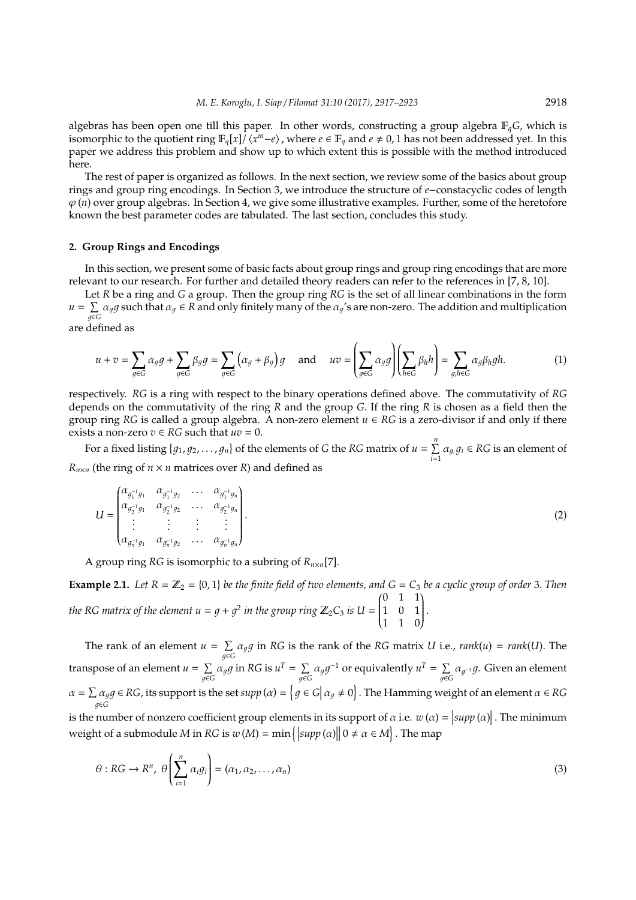algebras has been open one till this paper. In other words, constructing a group algebra F*qG*, which is isomorphic to the quotient ring  $\mathbb{F}_q[x]/\langle x^m-e\rangle$ , where  $e\in \mathbb{F}_q$  and  $e\neq 0,1$  has not been addressed yet. In this paper we address this problem and show up to which extent this is possible with the method introduced here.

The rest of paper is organized as follows. In the next section, we review some of the basics about group rings and group ring encodings. In Section 3, we introduce the structure of *e*−constacyclic codes of length  $\varphi$ (*n*) over group algebras. In Section 4, we give some illustrative examples. Further, some of the heretofore known the best parameter codes are tabulated. The last section, concludes this study.

### **2. Group Rings and Encodings**

In this section, we present some of basic facts about group rings and group ring encodings that are more relevant to our research. For further and detailed theory readers can refer to the references in [7, 8, 10].

Let *R* be a ring and *G* a group. Then the group ring *RG* is the set of all linear combinations in the form  $u = \sum$  $\sum_{g\in G} \alpha_g g$  such that  $\alpha_g \in R$  and only finitely many of the  $\alpha_g$ 's are non-zero. The addition and multiplication are defined as

$$
u + v = \sum_{g \in G} \alpha_g g + \sum_{g \in G} \beta_g g = \sum_{g \in G} (\alpha_g + \beta_g) g \quad \text{and} \quad uv = \left( \sum_{g \in G} \alpha_g g \right) \left( \sum_{h \in G} \beta_h h \right) = \sum_{g, h \in G} \alpha_g \beta_h gh. \tag{1}
$$

respectively. *RG* is a ring with respect to the binary operations defined above. The commutativity of *RG* depends on the commutativity of the ring *R* and the group *G*. If the ring *R* is chosen as a field then the group ring *RG* is called a group algebra. A non-zero element  $u \in RG$  is a zero-divisor if and only if there exists a non-zero  $v \in RG$  such that  $uv = 0$ .

For a fixed listing  $\{g_1, g_2, \ldots, g_n\}$  of the elements of *G* the *RG* matrix of  $u = \sum^{n}$  $\sum_{i=1}^{n} \alpha_{g_i} g_i \in RG$  is an element of  $R_{n \times n}$  (the ring of  $n \times n$  matrices over *R*) and defined as

$$
U = \begin{pmatrix} \alpha_{g_1^{-1}g_1} & \alpha_{g_1^{-1}g_2} & \dots & \alpha_{g_1^{-1}g_n} \\ \alpha_{g_2^{-1}g_1} & \alpha_{g_2^{-1}g_2} & \dots & \alpha_{g_2^{-1}g_n} \\ \vdots & \vdots & \vdots & \vdots \\ \alpha_{g_n^{-1}g_1} & \alpha_{g_n^{-1}g_2} & \dots & \alpha_{g_n^{-1}g_n} \end{pmatrix} .
$$
 (2)

A group ring *RG* is isomorphic to a subring of *Rn*×*n*[7].

**Example 2.1.** Let  $R = \mathbb{Z}_2 = \{0, 1\}$  be the finite field of two elements, and  $G = C_3$  be a cyclic group of order 3. Then *the RG matrix of the element*  $u = g + g^2$  *in the group ring*  $\mathbb{Z}_2C_3$  *is*  $U =$  0 1 1  $\overline{\mathcal{C}}$ 1 0 1 1 1 0  $\lambda$  $\begin{array}{c} \end{array}$ .

The rank of an element  $u = \sum$  $\sum_{g \in G} \alpha_g g$  in *RG* is the rank of the *RG* matrix *U* i.e., *rank*(*u*) = *rank*(*U*). The transpose of an element  $u = \sum$  $\sum\limits_{g\in G}\alpha_g g$  in RG is  $u^T=\sum\limits_{g\in G}$  $\sum_{g \in G} \alpha_g g^{-1}$  or equivalently  $u^T = \sum_{g \in G}$  $\sum_{g \in G} \alpha_{g^{-1}} g$ . Given an element  $\alpha = \sum \alpha_q g$ 1∈*G*  $\in$  *RG*, its support is the set  $supp (\alpha) = \left\{ g \in G | \alpha_g \neq 0 \right\}$ . The Hamming weight of an element  $\alpha \in RG$ is the number of nonzero coefficient group elements in its support of  $\alpha$  i.e.  $w(\alpha) = |supp(\alpha)|$ . The minimum

weight of a submodule *M* in *RG* is  $w(M) = min({supp(n)}$  $\big|0 \neq \alpha \in M\big|$ . The map ĺ  $\sum_{ }^{n}$  $\lambda$ 

$$
\theta: RG \to R^n, \ \theta\left(\sum_{i=1}^n \alpha_i g_i\right) = (\alpha_1, \alpha_2, \dots, \alpha_n) \tag{3}
$$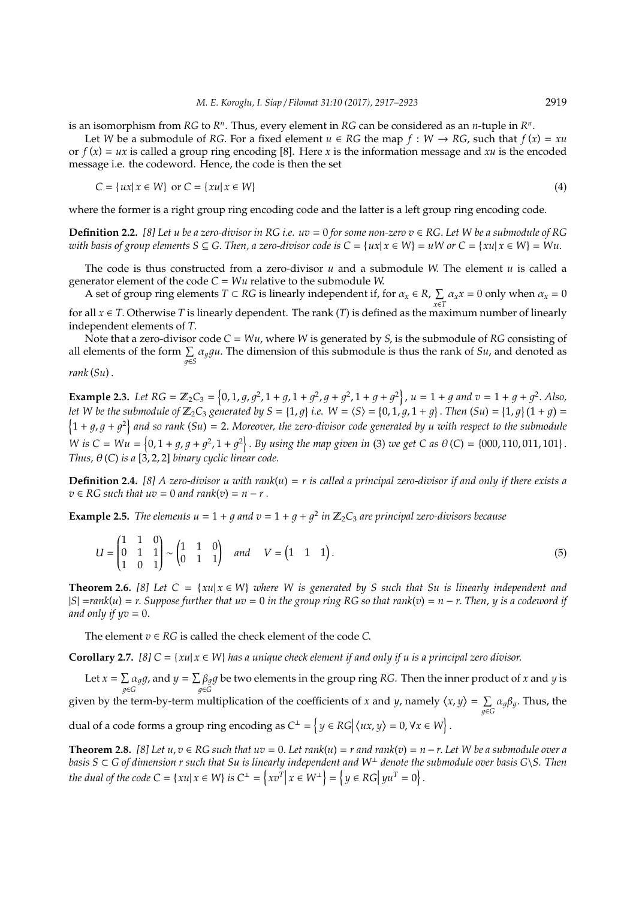is an isomorphism from  $RG$  to  $R<sup>n</sup>$ . Thus, every element in  $RG$  can be considered as an *n*-tuple in  $R<sup>n</sup>$ .

Let *W* be a submodule of *RG*. For a fixed element  $u \in RG$  the map  $f : W \to RG$ , such that  $f(x) = xu$ or  $f(x) = ux$  is called a group ring encoding [8]. Here *x* is the information message and *xu* is the encoded message i.e. the codeword. Hence, the code is then the set

$$
C = \{ux | x \in W\} \text{ or } C = \{xu | x \in W\}
$$
\n
$$
(4)
$$

where the former is a right group ring encoding code and the latter is a left group ring encoding code.

**Definition 2.2.** [8] Let u be a zero-divisor in RG i.e.  $uv = 0$  for some non-zero  $v \in RG$ . Let W be a submodule of RG *with basis of group elements*  $S \subseteq G$ *. Then, a zero-divisor code is*  $C = \{ux | x \in W\} = uW$  *or*  $C = \{xu | x \in W\} = Wu$ *.* 

The code is thus constructed from a zero-divisor *u* and a submodule *W*. The element *u* is called a generator element of the code *C* = *Wu* relative to the submodule *W*.

A set of group ring elements  $T \subset RG$  is linearly independent if, for  $\alpha_x \in R$ ,  $\Sigma$  $\sum_{x \in T} \alpha_x x = 0$  only when  $\alpha_x = 0$ for all  $x \in T$ . Otherwise *T* is linearly dependent. The rank (*T*) is defined as the maximum number of linearly independent elements of *T*.

Note that a zero-divisor code  $C = Wu$ , where *W* is generated by *S*, is the submodule of *RG* consisting of all elements of the form  $\sum_{g \in S} \alpha_g gu$ . The dimension of this submodule is thus the rank of *Su*, and denoted as

$$
rank(Su).
$$

**Example 2.3.** Let RG =  $\mathbb{Z}_2C_3 = \{0, 1, g, g^2, 1 + g, 1 + g^2, g + g^2, 1 + g + g^2\}, u = 1 + g$  and  $v = 1 + g + g^2$ . Also, *let* W be the submodule of  $\mathbb{Z}_2C_3$  generated by  $S = \{1, g\}$  i.e.  $W = \langle S \rangle = \{0, 1, g, 1 + g\}$ . Then  $(Su) = \{1, g\}(1 + g) =$  $\{1 + g, g + g^2\}$  and so rank (Su) = 2. Moreover, the zero-divisor code generated by u with respect to the submodule *W* is  $C = Wu = \{0, 1 + g, g + g^2, 1 + g^2\}$ . By using the map given in (3) we get C as  $\theta(C) = \{000, 110, 011, 101\}$ . *Thus,*  $\theta$  (*C*) *is a* [3, 2, 2] *binary cyclic linear code.* 

**Definition 2.4.** *[8] A zero-divisor u with rank*(*u*) = *r is called a principal zero-divisor if and only if there exists a*  $v \in RG$  *such that uv* = 0 *and rank*(*v*) = *n* − *r*.

**Example 2.5.** *The elements*  $u = 1 + g$  *and*  $v = 1 + g + g^2$  *in*  $\mathbb{Z}_2C_3$  *are principal zero-divisors because* 

$$
U = \begin{pmatrix} 1 & 1 & 0 \\ 0 & 1 & 1 \\ 1 & 0 & 1 \end{pmatrix} \sim \begin{pmatrix} 1 & 1 & 0 \\ 0 & 1 & 1 \end{pmatrix} \quad and \quad V = \begin{pmatrix} 1 & 1 & 1 \end{pmatrix}.
$$
 (5)

**Theorem 2.6.** [8] Let  $C = \{xu | x \in W\}$  *where W is generated by S such that Su is linearly independent and* |*S*| =*rank*(*u*) = *r*. *Suppose further that uv* = 0 *in the group ring RG so that rank*(*v*) = *n* − *r*. *Then, y is a codeword if and only if*  $yv = 0$ *.* 

The element  $v \in RG$  is called the check element of the code  $C$ .

**Corollary 2.7.** *[8]*  $C = \{xu | x \in W\}$  *has a unique check element if and only if u is a principal zero divisor.* 

Let  $x = \sum \alpha_q g$ , and  $y = \sum \beta_q g$  be two elements in the group ring *RG*. Then the inner product of *x* and *y* is 1∈*G*  $g ∈ G$ given by the term-by-term multiplication of the coefficients of *x* and *y*, namely  $\langle x, y \rangle = \sum$  $\sum\limits_{g\in G}\alpha_g\beta_g.$  Thus, the dual of a code forms a group ring encoding as  $C^{\perp} = \left\{ y \in RG \middle| \langle ux, y \rangle = 0, \forall x \in W \right\}.$ 

**Theorem 2.8.** [8] Let  $u, v \in RG$  such that  $uv = 0$ . Let rank $(u) = r$  and rank $(v) = n - r$ . Let W be a submodule over a *basis S* ⊂ *G of dimension r such that Su is linearly independent and W*<sup>⊥</sup> *denote the submodule over basis G*\*S. Then the dual of the code*  $C = \{xu | x \in W\}$  *is*  $C^{\perp} = \left\{xv^{T} | x \in W^{\perp}\right\} = \left\{y \in RG | yu^{T} = 0\right\}.$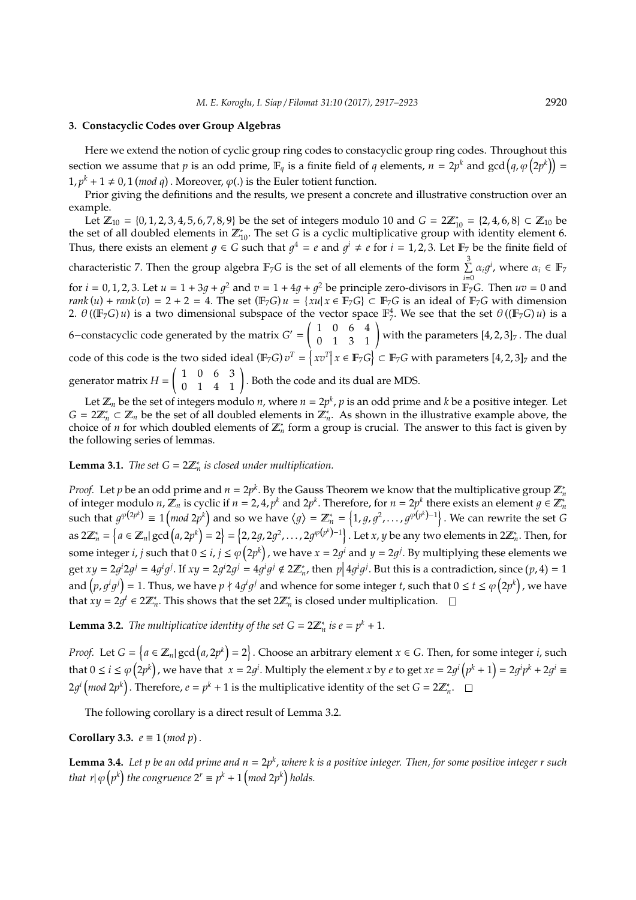### **3. Constacyclic Codes over Group Algebras**

Here we extend the notion of cyclic group ring codes to constacyclic group ring codes. Throughout this section we assume that  $p$  is an odd prime,  $\mathbb{F}_q$  is a finite field of  $q$  elements,  $n = 2p^k$  and  $\gcd(q, \varphi(2p^k)) =$  $1, p^k + 1 \neq 0, 1 \pmod{q}$ . Moreover,  $\varphi(.)$  is the Euler totient function.

Prior giving the definitions and the results, we present a concrete and illustrative construction over an example.

Let  $\mathbb{Z}_{10} = \{0, 1, 2, 3, 4, 5, 6, 7, 8, 9\}$  be the set of integers modulo 10 and  $G = 2\mathbb{Z}_{10}^* = \{2, 4, 6, 8\} \subset \mathbb{Z}_{10}$  be the set of all doubled elements in  $\mathbb{Z}_{10}^*$ . The set *G* is a cyclic multiplicative group with identity element 6. Thus, there exists an element  $g \in G$  such that  $g^4 = e$  and  $g^i \neq e$  for  $i = 1, 2, 3$ . Let  $\mathbb{F}_7$  be the finite field of characteristic 7. Then the group algebra  $\mathbb{F}_7 G$  is the set of all elements of the form  $\sum^3$  $\sum_{i=0}^{8} \alpha_i g^i$ , where  $\alpha_i \in \mathbb{F}_7$ for  $i = 0, 1, 2, 3$ . Let  $u = 1 + 3g + g^2$  and  $v = 1 + 4g + g^2$  be principle zero-divisors in  $\mathbb{F}_7 G$ . Then  $uv = 0$  and *rank* (*u*) + *rank* (*v*) = 2 + 2 = 4. The set ( $\mathbb{F}_7 G$ )  $u = \{xu | x \in \mathbb{F}_7 G\}$  ⊂  $\mathbb{F}_7 G$  is an ideal of  $\mathbb{F}_7 G$  with dimension 2.  $\theta((\mathbb{F}_7G)u)$  is a two dimensional subspace of the vector space  $\mathbb{F}_7^4$ . We see that the set  $\theta((\mathbb{F}_7G)u)$  is a 6–constacyclic code generated by the matrix  $G' = \begin{pmatrix} 1 & 0 & 6 & 4 \\ 0 & 1 & 3 & 1 \end{pmatrix}$  with the parameters  $[4, 2, 3]_7$ . The dual code of this code is the two sided ideal ( $\mathbb{F}_7 G$ )  $v^T = \{ xv^T | x \in \mathbb{F}_7 G \} \subset \mathbb{F}_7 G$  with parameters  $[4, 2, 3]_7$  and the generator matrix *H* =  $\begin{pmatrix} 1 & 0 & 6 & 3 \\ 0 & 1 & 4 & 1 \end{pmatrix}$ . Both the code and its dual are MDS.

Let  $\mathbb{Z}_n$  be the set of integers modulo *n*, where  $n = 2p^k$ ,  $p$  is an odd prime and  $k$  be a positive integer. Let  $G = 2\mathbb{Z}_n^* \subset \mathbb{Z}_n$  be the set of all doubled elements in  $\mathbb{Z}_n^*$ . As shown in the illustrative example above, the choice of *n* for which doubled elements of  $\mathbb{Z}_n^*$  form a group is crucial. The answer to this fact is given by the following series of lemmas.

## **Lemma 3.1.** *The set*  $G = 2\mathbb{Z}_n^*$  *is closed under multiplication.*

*Proof.* Let *p* be an odd prime and  $n = 2p^k$ . By the Gauss Theorem we know that the multiplicative group  $\mathbb{Z}_n^*$ of integer modulo *n*,  $\mathbb{Z}_n$  is cyclic if  $n = 2, 4, p^k$  and  $2p^k$ . Therefore, for  $n = 2p^k$  there exists an element  $g \in \mathbb{Z}_n^*$ such that  $g^{\varphi(2p^k)} \equiv 1 \left(mod~2p^k\right)$  and so we have  $\langle g \rangle = \mathbb{Z}_n^* = \left\{1, g, g^2, \ldots, g^{\varphi(p^k)-1}\right\}.$  We can rewrite the set  $G$ as  $2\mathbb{Z}_n^*=\left\{a\in\mathbb{Z}_n|\gcd\left(a,2p^k\right)=2\right\}=\left\{2,2g,2g^2,\ldots,2g^{\varphi\left(p^k\right)-1}\right\}.$  Let *x*, *y* be any two elements in  $2\mathbb{Z}_n^*.$  Then, for some integer *i*, *j* such that  $0 \le i, j \le \varphi(2p^k)$  , we have  $x = 2g^i$  and  $y = 2g^j$ . By multiplying these elements we get  $xy = 2g^i 2g^j = 4g^i g^j$ . If  $xy = 2g^i 2g^j = 4g^i g^j \notin 2\mathbb{Z}_n^*$ , then  $p \mid 4g^i g^j$ . But this is a contradiction, since  $(p, 4) = 1$ and  $(p, g^i g^j) = 1$ . Thus, we have  $p \nmid 4g^i g^j$  and whence for some integer *t*, such that  $0 \le t \le \varphi(2p^k)$  , we have that  $xy = 2gt' \in 2\mathbb{Z}_n^*$ . This shows that the set  $2\mathbb{Z}_n^*$  is closed under multiplication.

**Lemma 3.2.** *The multiplicative identity of the set*  $G = 2\mathbb{Z}_n^*$  *is*  $e = p^k + 1$ *.* 

*Proof.* Let  $G = \{a \in \mathbb{Z}_n | \gcd(a, 2p^k) = 2\}$ . Choose an arbitrary element  $x \in G$ . Then, for some integer *i*, such that  $0 \le i \le \varphi(2p^k)$ , we have that  $x = 2g^i$ . Multiply the element x by e to get  $xe = 2g^i(p^k + 1) = 2g^ip^k + 2g^i \equiv 1$  $2g^i\left(mod\ 2p^k\right)$ . Therefore,  $e = p^k + 1$  is the multiplicative identity of the set  $G = 2\mathbb{Z}_n^*$ .

The following corollary is a direct result of Lemma 3.2.

**Corollary 3.3.**  $e \equiv 1 \pmod{p}$ .

**Lemma 3.4.** *Let p be an odd prime and n* = 2*p k* , *where k is a positive integer. Then, for some positive integer r such that*  $r | \varphi (p^k)$  *the congruence*  $2^r \equiv p^k + 1 \pmod{2p^k}$  *holds.*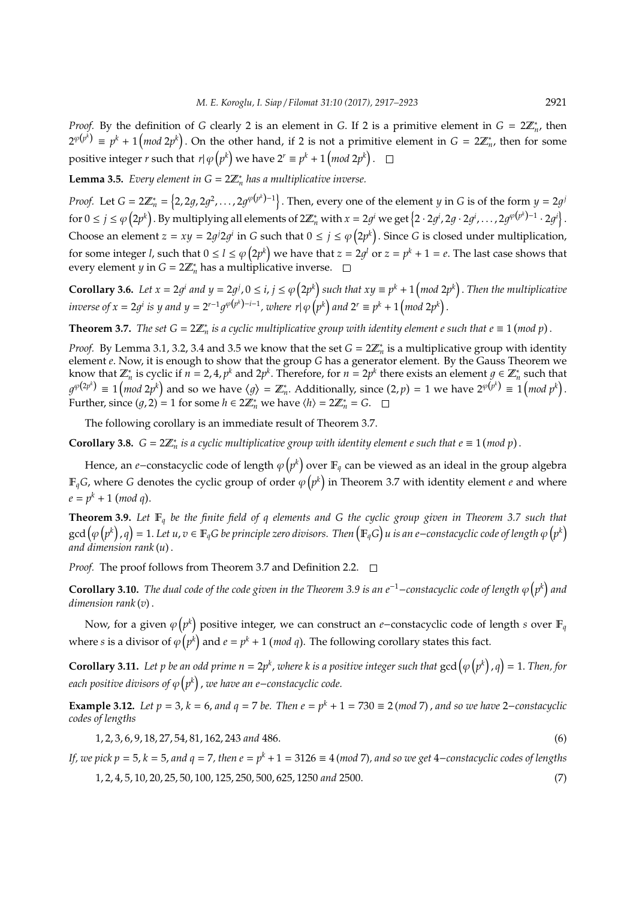*Proof.* By the definition of *G* clearly 2 is an element in *G*. If 2 is a primitive element in  $G = 2\mathbb{Z}_n^*$ , then  $2^{\varphi(p^k)} \equiv p^k + 1 \left( \text{mod } 2p^k \right).$  On the other hand, if 2 is not a primitive element in  $G = 2 \mathbb{Z}_n^*$ , then for some positive integer  $r$  such that  $r | \varphi(p^k)$  we have  $2^r \equiv p^k + 1 \left( \text{mod } 2p^k \right).$ 

**Lemma 3.5.** *Every element in*  $G = 2\mathbb{Z}_n^*$  *has a multiplicative inverse.* 

*Proof.* Let  $G = 2\mathbb{Z}_n^* = \left\{2, 2g, 2g^2, \ldots, 2g^{\varphi(p^k)-1}\right\}$ . Then, every one of the element *y* in *G* is of the form  $y = 2g^j$  $\text{for } 0 \leq j \leq \varphi\left(2p^k\right).$  By multiplying all elements of  $2\mathbb{Z}_n^*$  with  $x = 2g^i$  we get  $\left\{2 \cdot 2g^i, 2g \cdot 2g^i, \ldots, 2g^{\varphi\left(p^k\right)-1} \cdot 2g^i\right\}.$ Choose an element  $z = xy = 2g/2g/$  in *G* such that  $0 \le j \le \varphi(2p^k)$ . Since *G* is closed under multiplication, for some integer *l,* such that  $0 \le l \le \varphi(2p^k)$  we have that  $z = 2g^l$  or  $z = p^k + 1 = e$ . The last case shows that every element *y* in  $G = 2\mathbb{Z}_n^*$  has a multiplicative inverse.

**Corollary 3.6.** Let  $x = 2g^i$  and  $y = 2g^j$ ,  $0 \le i, j \le \varphi(2p^k)$  such that  $xy \equiv p^k + 1 \pmod{2p^k}$ . Then the multiplicative *inverse of*  $x = 2g^i$  *is*  $y$  *and*  $y = 2^{r-1}g^{\varphi(p^k)-i-1}$ *, where*  $r | \varphi(p^k)$  *and*  $2^r \equiv p^k + 1 \pmod{2p^k}$ .

**Theorem 3.7.** The set  $G = 2\mathbb{Z}_n^*$  is a cyclic multiplicative group with identity element e such that  $e \equiv 1 \pmod{p}$ .

*Proof.* By Lemma 3.1, 3.2, 3.4 and 3.5 we know that the set  $G = 2\mathbb{Z}_n^*$  is a multiplicative group with identity element *e*. Now, it is enough to show that the group *G* has a generator element. By the Gauss Theorem we know that  $\mathbb{Z}_n^*$  is cyclic if  $n = 2, 4, p^k$  and  $2p^k$ . Therefore, for  $n = 2p^k$  there exists an element  $g \in \mathbb{Z}_n^*$  such that  $g^{\varphi(2p^k)} \equiv 1 \left(\text{mod } 2p^k\right)$  and so we have  $\langle g \rangle = \mathbb{Z}_n^*.$  Additionally, since  $(2, p) = 1$  we have  $2^{\varphi(p^k)} \equiv 1 \left(\text{mod } p^k\right).$ Further, since  $(g, 2) = 1$  for some  $h \in 2\mathbb{Z}_n^*$  we have  $\langle h \rangle = 2\mathbb{Z}_n^* = G$ .

The following corollary is an immediate result of Theorem 3.7.

**Corollary 3.8.**  $G = 2\mathbb{Z}_n^*$  is a cyclic multiplicative group with identity element e such that  $e \equiv 1 \pmod{p}$ .

Hence, an *e*−constacyclic code of length φ $\left(p^k\right)$  over  $\mathbb{F}_q$  can be viewed as an ideal in the group algebra  $\mathbb{F}_q G$ , where  $G$  denotes the cyclic group of order  $\varphi\big(p^k\big)$  in Theorem 3.7 with identity element  $e$  and where  $e = p^k + 1 \pmod{q}.$ 

**Theorem 3.9.** *Let* F*<sup>q</sup> be the finite field of q elements and G the cyclic group given in Theorem 3.7 such that* gcd  $(\varphi\big(p^k\big),q\big)=1.$  Let  $u,v\in\mathbb{F}_qG$  be principle zero divisors. Then  $\big(\mathbb{F}_qG\big)u$  is an e−constacyclic code of length  $\varphi\big(p^k\big)$ *and dimension rank* (*u*) .

*Proof.* The proof follows from Theorem 3.7 and Definition 2.2.  $\Box$ 

**Corollary 3.10.** The dual code of the code given in the Theorem 3.9 is an e<sup>−1</sup>−constacyclic code of length  $\varphi(p^k)$  and *dimension rank* (*v*) .

Now, for a given φ $\left( p^k \right)$  positive integer, we can construct an *e−*constacyclic code of length *s* over F<sub>q</sub> where *s* is a divisor of  $\varphi(p^k)$  and  $e = p^k + 1$  (*mod q*). The following corollary states this fact.

**Corollary 3.11.** Let p be an odd prime  $n = 2p^k$ , where k is a positive integer such that  $gcd(\varphi(p^k), q) = 1$ . Then, for *each positive divisors of*  $\varphi$   $\left( p^{k} \right)$  , we have an e−constacyclic code.

**Example 3.12.** *Let p* = 3, *k* = 6, *and*  $q$  = 7 *be. Then*  $e = p^k + 1 = 730 ≡ 2 (mod 7)$ , *and so we have* 2−*constacyclic codes of lengths*

1, 2, 3, 6, 9, 18, 27, 54, 81, 162, 243 *and* 486. (6)

*If, we pick p = 5, k = 5, and q = 7, then e = p<sup>k</sup> + 1 = 3126 ≡ 4 (mod 7), and so we get 4−constacyclic codes of lengths* 

1, 2, 4, 5, 10, 20, 25, 50, 100, 125, 250, 500, 625, 1250 *and* 2500. (7)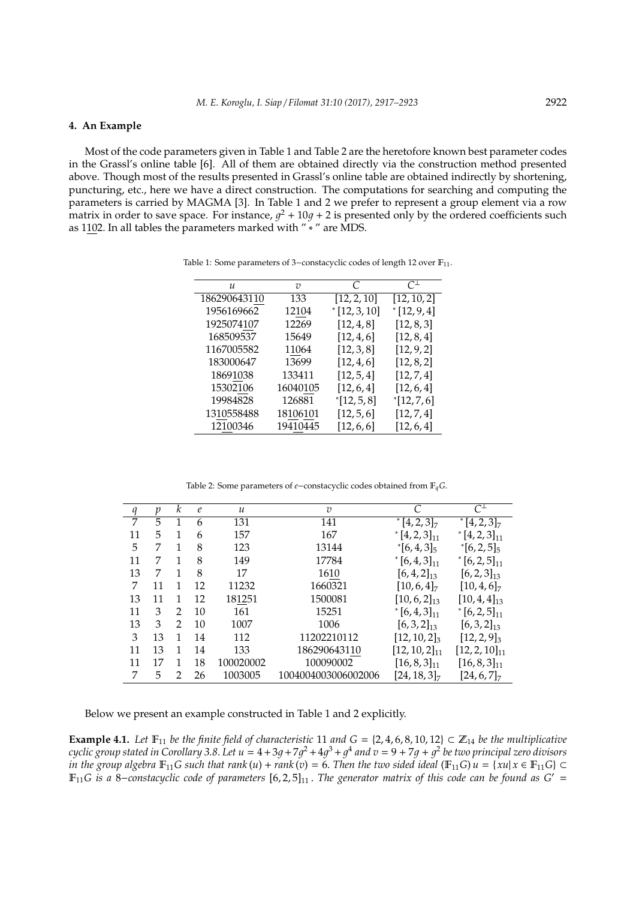### **4. An Example**

Most of the code parameters given in Table 1 and Table 2 are the heretofore known best parameter codes in the Grassl's online table [6]. All of them are obtained directly via the construction method presented above. Though most of the results presented in Grassl's online table are obtained indirectly by shortening, puncturing, etc., here we have a direct construction. The computations for searching and computing the parameters is carried by MAGMA [3]. In Table 1 and 2 we prefer to represent a group element via a row matrix in order to save space. For instance,  $g^2 + 10g + 2$  is presented only by the ordered coefficients such as 1102. In all tables the parameters marked with " ∗ " are MDS.

| u            | υ        | C           | $C^{\perp}$ |
|--------------|----------|-------------|-------------|
| 186290643110 | 133      | [12, 2, 10] | [12, 10, 2] |
| 1956169662   | 12104    | [12, 3, 10] | [12, 9, 4]  |
| 1925074107   | 12269    | [12, 4, 8]  | [12, 8, 3]  |
| 168509537    | 15649    | [12, 4, 6]  | [12, 8, 4]  |
| 1167005582   | 11064    | [12, 3, 8]  | [12, 9, 2]  |
| 183000647    | 13699    | [12, 4, 6]  | [12, 8, 2]  |
| 18691038     | 133411   | [12, 5, 4]  | [12, 7, 4]  |
| 15302106     | 16040105 | [12, 6, 4]  | [12, 6, 4]  |
| 19984828     | 126881   | [12, 5, 8]  | [12, 7, 6]  |
| 1310558488   | 18106101 | [12, 5, 6]  | [12, 7, 4]  |
| 12100346     | 19410445 | [12, 6, 6]  | [12, 6, 4]  |

Table 1: Some parameters of 3-constacyclic codes of length 12 over F<sub>11</sub>.

Table 2: Some parameters of *e*−constacyclic codes obtained from F*qG*.

| $\boldsymbol{q}$ | $\mathcal{V}$ | k             | $\mathcal{C}_{0}$ | $\mathcal{U}$ | $\overline{v}$      |                             | $C^{\perp}$                 |
|------------------|---------------|---------------|-------------------|---------------|---------------------|-----------------------------|-----------------------------|
| 7                | 5             | 1             | 6                 | 131           | 141                 | $[4, 2, 3]_7$               | $*$ [4, 2, 3] <sub>7</sub>  |
| 11               | 5             |               | 6                 | 157           | 167                 | $*$ [4, 2, 3] <sub>11</sub> | $*$ [4, 2, 3] <sub>11</sub> |
| 5                | 7             | 1             | 8                 | 123           | 13144               | $\left[6,4,3\right]_{5}$    | $\left[6, 2, 5\right]_5$    |
| 11               | 7             | 1             | 8                 | 149           | 17784               | $\left[6,4,3\right]_{11}$   | $*$ [6, 2, 5] <sub>11</sub> |
| 13               | 7             |               | 8                 | 17            | 1610                | $[6, 4, 2]_{13}$            | $[6, 2, 3]_{13}$            |
| 7                | 11            |               | 12                | 11232         | 1660321             | $[10, 6, 4]_7$              | $[10, 4, 6]_7$              |
| 13               | 11            | 1             | 12                | 181251        | 1500081             | $[10, 6, 2]_{13}$           | $[10, 4, 4]_{13}$           |
| 11               | 3             | $\mathcal{P}$ | 10                | 161           | 15251               | $\left[6,4,3\right]_{11}$   | $*$ [6, 2, 5] <sub>11</sub> |
| 13               | 3             | $\mathcal{D}$ | 10                | 1007          | 1006                | $[6,3,2]_{13}$              | $[6,3,2]_{13}$              |
| 3                | 13            |               | 14                | 112           | 11202210112         | $[12, 10, 2]_3$             | $[12, 2, 9]_3$              |
| 11               | 13            |               | 14                | 133           | 186290643110        | $[12, 10, 2]_{11}$          | $[12, 2, 10]_{11}$          |
| 11               | 17            | 1             | 18                | 100020002     | 100090002           | $[16, 8, 3]_{11}$           | $[16, 8, 3]_{11}$           |
| 7                | 5             | 2             | 26                | 1003005       | 1004004003006002006 | $[24, 18, 3]_7$             | $[24, 6, 7]_7$              |

Below we present an example constructed in Table 1 and 2 explicitly.

**Example 4.1.** Let  $\mathbb{F}_{11}$  be the finite field of characteristic 11 and  $G = \{2, 4, 6, 8, 10, 12\} \subset \mathbb{Z}_{14}$  be the multiplicative  $cyclic$  group stated in Corollary 3.8. Let  $u=4+3g+7g^2+4g^3+g^4$  and  $v=9+7g+g^2$  be two principal zero divisors *in the group algebra*  $\mathbb{F}_{11}$ *G* such that rank(*u*) + *rank*(*v*) = 6. Then the two sided ideal ( $\mathbb{F}_{11}$ *G*) *u* = {*xu*| *x*  $\in$   $\mathbb{F}_{11}$ *G*}  $\subset$ <sup>F</sup>11*G is a* <sup>8</sup>−*constacyclic code of parameters* [6, <sup>2</sup>, 5]<sup>11</sup> . *The generator matrix of this code can be found as G*<sup>0</sup> <sup>=</sup>